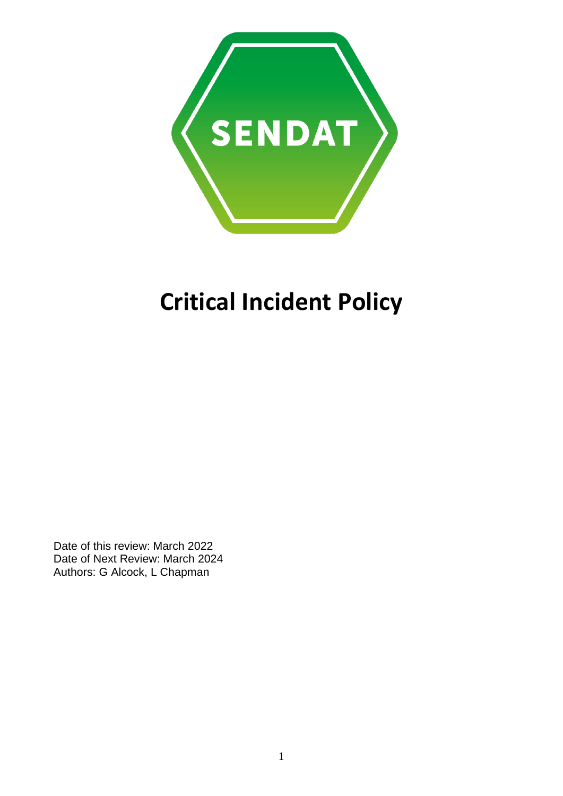

# **Critical Incident Policy**

Date of this review: March 2022 Date of Next Review: March 2024 Authors: G Alcock, L Chapman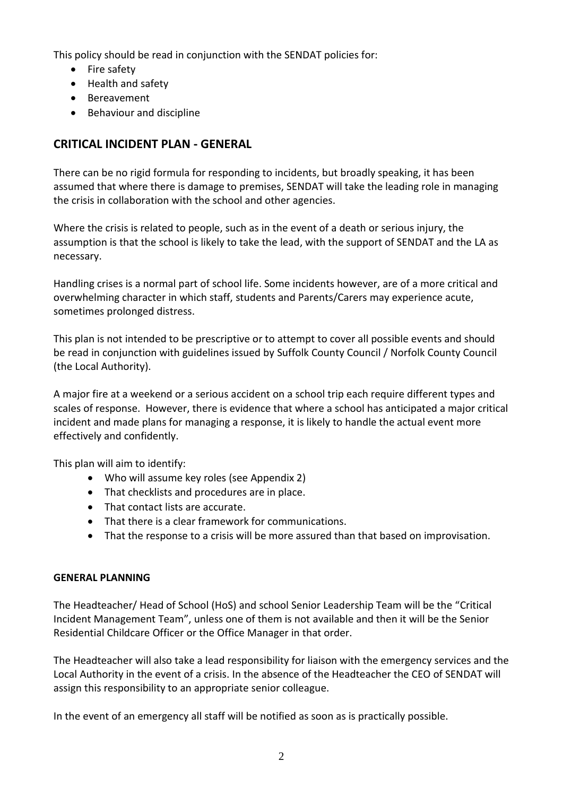This policy should be read in conjunction with the SENDAT policies for:

- Fire safety
- Health and safety
- Bereavement
- Behaviour and discipline

## **CRITICAL INCIDENT PLAN - GENERAL**

There can be no rigid formula for responding to incidents, but broadly speaking, it has been assumed that where there is damage to premises, SENDAT will take the leading role in managing the crisis in collaboration with the school and other agencies.

Where the crisis is related to people, such as in the event of a death or serious injury, the assumption is that the school is likely to take the lead, with the support of SENDAT and the LA as necessary.

Handling crises is a normal part of school life. Some incidents however, are of a more critical and overwhelming character in which staff, students and Parents/Carers may experience acute, sometimes prolonged distress.

This plan is not intended to be prescriptive or to attempt to cover all possible events and should be read in conjunction with guidelines issued by Suffolk County Council / Norfolk County Council (the Local Authority).

A major fire at a weekend or a serious accident on a school trip each require different types and scales of response. However, there is evidence that where a school has anticipated a major critical incident and made plans for managing a response, it is likely to handle the actual event more effectively and confidently.

This plan will aim to identify:

- Who will assume key roles (see Appendix 2)
- That checklists and procedures are in place.
- That contact lists are accurate.
- That there is a clear framework for communications.
- That the response to a crisis will be more assured than that based on improvisation.

## **GENERAL PLANNING**

The Headteacher/ Head of School (HoS) and school Senior Leadership Team will be the "Critical Incident Management Team", unless one of them is not available and then it will be the Senior Residential Childcare Officer or the Office Manager in that order.

The Headteacher will also take a lead responsibility for liaison with the emergency services and the Local Authority in the event of a crisis. In the absence of the Headteacher the CEO of SENDAT will assign this responsibility to an appropriate senior colleague.

In the event of an emergency all staff will be notified as soon as is practically possible.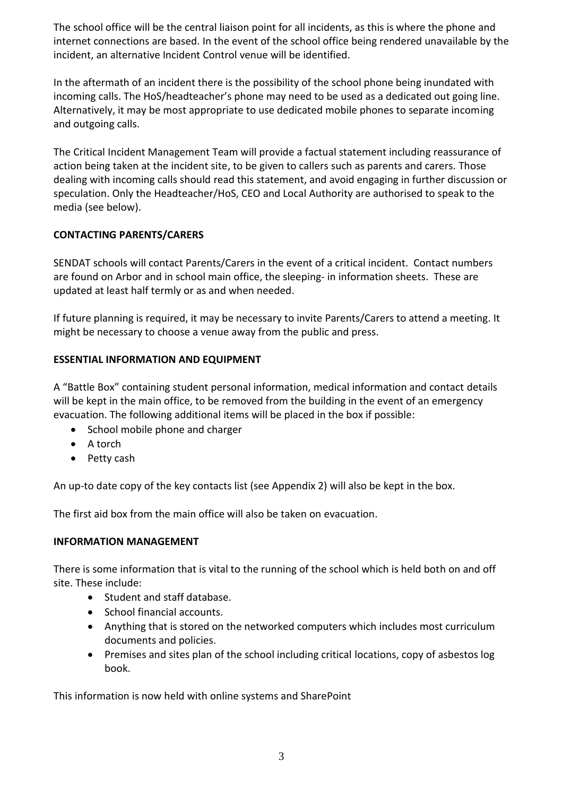The school office will be the central liaison point for all incidents, as this is where the phone and internet connections are based. In the event of the school office being rendered unavailable by the incident, an alternative Incident Control venue will be identified.

In the aftermath of an incident there is the possibility of the school phone being inundated with incoming calls. The HoS/headteacher's phone may need to be used as a dedicated out going line. Alternatively, it may be most appropriate to use dedicated mobile phones to separate incoming and outgoing calls.

The Critical Incident Management Team will provide a factual statement including reassurance of action being taken at the incident site, to be given to callers such as parents and carers. Those dealing with incoming calls should read this statement, and avoid engaging in further discussion or speculation. Only the Headteacher/HoS, CEO and Local Authority are authorised to speak to the media (see below).

## **CONTACTING PARENTS/CARERS**

SENDAT schools will contact Parents/Carers in the event of a critical incident. Contact numbers are found on Arbor and in school main office, the sleeping- in information sheets. These are updated at least half termly or as and when needed.

If future planning is required, it may be necessary to invite Parents/Carers to attend a meeting. It might be necessary to choose a venue away from the public and press.

## **ESSENTIAL INFORMATION AND EQUIPMENT**

A "Battle Box" containing student personal information, medical information and contact details will be kept in the main office, to be removed from the building in the event of an emergency evacuation. The following additional items will be placed in the box if possible:

- School mobile phone and charger
- A torch
- Petty cash

An up-to date copy of the key contacts list (see Appendix 2) will also be kept in the box.

The first aid box from the main office will also be taken on evacuation.

#### **INFORMATION MANAGEMENT**

There is some information that is vital to the running of the school which is held both on and off site. These include:

- Student and staff database.
- School financial accounts.
- Anything that is stored on the networked computers which includes most curriculum documents and policies.
- Premises and sites plan of the school including critical locations, copy of asbestos log book.

This information is now held with online systems and SharePoint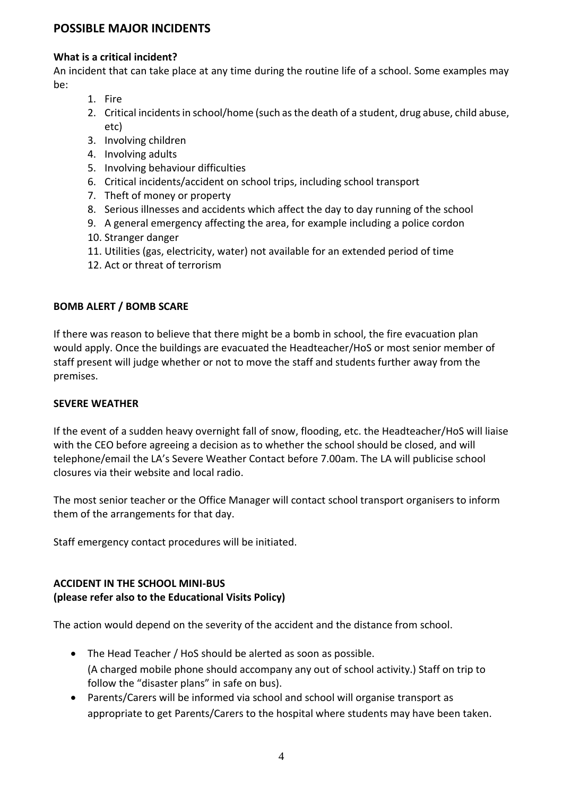## **POSSIBLE MAJOR INCIDENTS**

#### **What is a critical incident?**

An incident that can take place at any time during the routine life of a school. Some examples may be:

- 1. Fire
- 2. Critical incidents in school/home (such as the death of a student, drug abuse, child abuse, etc)
- 3. Involving children
- 4. Involving adults
- 5. Involving behaviour difficulties
- 6. Critical incidents/accident on school trips, including school transport
- 7. Theft of money or property
- 8. Serious illnesses and accidents which affect the day to day running of the school
- 9. A general emergency affecting the area, for example including a police cordon
- 10. Stranger danger
- 11. Utilities (gas, electricity, water) not available for an extended period of time
- 12. Act or threat of terrorism

#### **BOMB ALERT / BOMB SCARE**

If there was reason to believe that there might be a bomb in school, the fire evacuation plan would apply. Once the buildings are evacuated the Headteacher/HoS or most senior member of staff present will judge whether or not to move the staff and students further away from the premises.

#### **SEVERE WEATHER**

If the event of a sudden heavy overnight fall of snow, flooding, etc. the Headteacher/HoS will liaise with the CEO before agreeing a decision as to whether the school should be closed, and will telephone/email the LA's Severe Weather Contact before 7.00am. The LA will publicise school closures via their website and local radio.

The most senior teacher or the Office Manager will contact school transport organisers to inform them of the arrangements for that day.

Staff emergency contact procedures will be initiated.

## **ACCIDENT IN THE SCHOOL MINI-BUS (please refer also to the Educational Visits Policy)**

The action would depend on the severity of the accident and the distance from school.

- The Head Teacher / HoS should be alerted as soon as possible. (A charged mobile phone should accompany any out of school activity.) Staff on trip to follow the "disaster plans" in safe on bus).
- Parents/Carers will be informed via school and school will organise transport as appropriate to get Parents/Carers to the hospital where students may have been taken.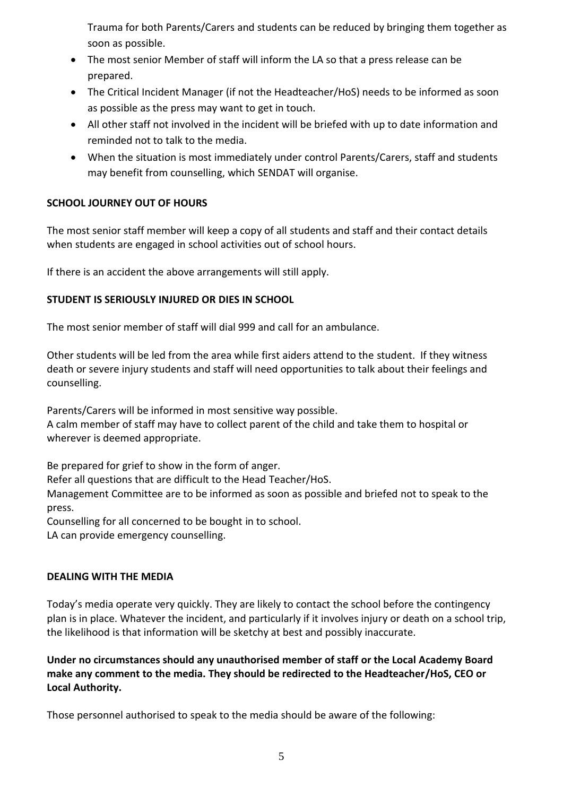Trauma for both Parents/Carers and students can be reduced by bringing them together as soon as possible.

- The most senior Member of staff will inform the LA so that a press release can be prepared.
- The Critical Incident Manager (if not the Headteacher/HoS) needs to be informed as soon as possible as the press may want to get in touch.
- All other staff not involved in the incident will be briefed with up to date information and reminded not to talk to the media.
- When the situation is most immediately under control Parents/Carers, staff and students may benefit from counselling, which SENDAT will organise.

## **SCHOOL JOURNEY OUT OF HOURS**

The most senior staff member will keep a copy of all students and staff and their contact details when students are engaged in school activities out of school hours.

If there is an accident the above arrangements will still apply.

## **STUDENT IS SERIOUSLY INJURED OR DIES IN SCHOOL**

The most senior member of staff will dial 999 and call for an ambulance.

Other students will be led from the area while first aiders attend to the student. If they witness death or severe injury students and staff will need opportunities to talk about their feelings and counselling.

Parents/Carers will be informed in most sensitive way possible.

A calm member of staff may have to collect parent of the child and take them to hospital or wherever is deemed appropriate.

Be prepared for grief to show in the form of anger.

Refer all questions that are difficult to the Head Teacher/HoS.

Management Committee are to be informed as soon as possible and briefed not to speak to the press.

Counselling for all concerned to be bought in to school.

LA can provide emergency counselling.

## **DEALING WITH THE MEDIA**

Today's media operate very quickly. They are likely to contact the school before the contingency plan is in place. Whatever the incident, and particularly if it involves injury or death on a school trip, the likelihood is that information will be sketchy at best and possibly inaccurate.

**Under no circumstances should any unauthorised member of staff or the Local Academy Board make any comment to the media. They should be redirected to the Headteacher/HoS, CEO or Local Authority.**

Those personnel authorised to speak to the media should be aware of the following: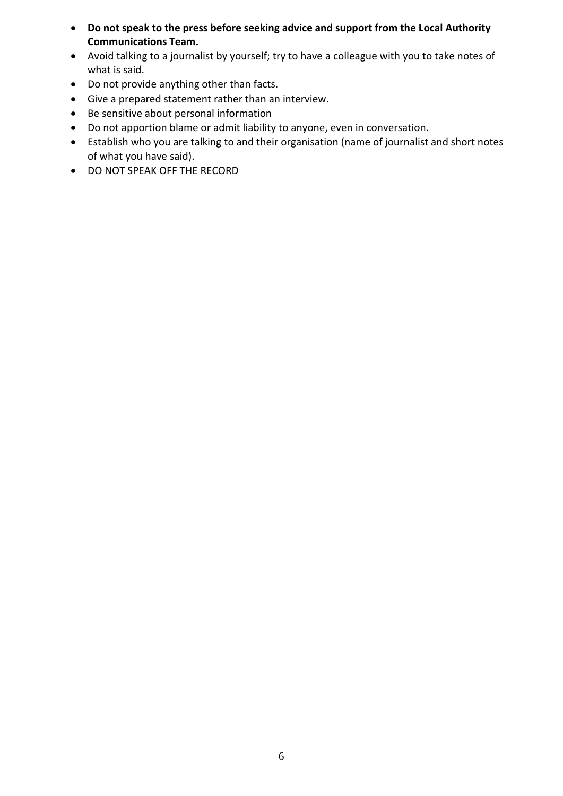- **Do not speak to the press before seeking advice and support from the Local Authority Communications Team.**
- Avoid talking to a journalist by yourself; try to have a colleague with you to take notes of what is said.
- Do not provide anything other than facts.
- Give a prepared statement rather than an interview.
- Be sensitive about personal information
- Do not apportion blame or admit liability to anyone, even in conversation.
- Establish who you are talking to and their organisation (name of journalist and short notes of what you have said).
- DO NOT SPEAK OFF THE RECORD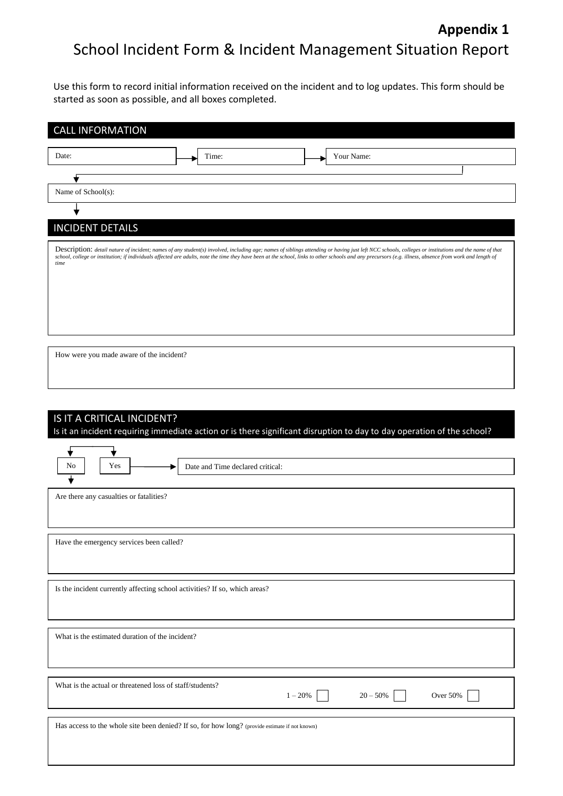# **Appendix 1** School Incident Form & Incident Management Situation Report

Use this form to record initial information received on the incident and to log updates. This form should be started as soon as possible, and all boxes completed.

| <b>CALL INFORMATION</b>                                                                                                                                                                                                                                                                                                                                                                                                 |
|-------------------------------------------------------------------------------------------------------------------------------------------------------------------------------------------------------------------------------------------------------------------------------------------------------------------------------------------------------------------------------------------------------------------------|
| Date:<br>Your Name:<br>Time:                                                                                                                                                                                                                                                                                                                                                                                            |
|                                                                                                                                                                                                                                                                                                                                                                                                                         |
| Name of School(s):                                                                                                                                                                                                                                                                                                                                                                                                      |
|                                                                                                                                                                                                                                                                                                                                                                                                                         |
| <b>INCIDENT DETAILS</b>                                                                                                                                                                                                                                                                                                                                                                                                 |
| Description: detail nature of incident; names of any student(s) involved, including age; names of siblings attending or having just left NCC schools, colleges or institutions and the name of that<br>school, college or institution; if individuals affected are adults, note the time they have been at the school, links to other schools and any precursors (e.g. illness, absence from work and length of<br>time |
|                                                                                                                                                                                                                                                                                                                                                                                                                         |
|                                                                                                                                                                                                                                                                                                                                                                                                                         |
|                                                                                                                                                                                                                                                                                                                                                                                                                         |
|                                                                                                                                                                                                                                                                                                                                                                                                                         |

How were you made aware of the incident?

# IS IT A CRITICAL INCIDENT?

Is it an incident requiring immediate action or is there significant disruption to day to day operation of the school?

| No<br>Yes                                                                                      | Date and Time declared critical: |           |            |          |
|------------------------------------------------------------------------------------------------|----------------------------------|-----------|------------|----------|
| ╈                                                                                              |                                  |           |            |          |
| Are there any casualties or fatalities?                                                        |                                  |           |            |          |
| Have the emergency services been called?                                                       |                                  |           |            |          |
| Is the incident currently affecting school activities? If so, which areas?                     |                                  |           |            |          |
| What is the estimated duration of the incident?                                                |                                  |           |            |          |
| What is the actual or threatened loss of staff/students?                                       |                                  | $1 - 20%$ | $20 - 50%$ | Over 50% |
| Has access to the whole site been denied? If so, for how long? (provide estimate if not known) |                                  |           |            |          |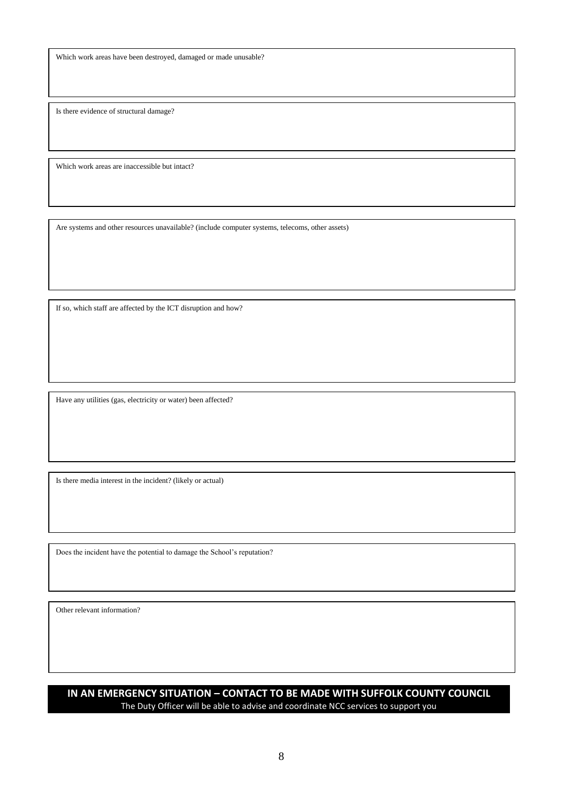Which work areas have been destroyed, damaged or made unusable?

Is there evidence of structural damage?

Which work areas are inaccessible but intact?

Are systems and other resources unavailable? (include computer systems, telecoms, other assets)

If so, which staff are affected by the ICT disruption and how?

Have any utilities (gas, electricity or water) been affected?

Is there media interest in the incident? (likely or actual)

Does the incident have the potential to damage the School's reputation?

Other relevant information?

## **IN AN EMERGENCY SITUATION – CONTACT TO BE MADE WITH SUFFOLK COUNTY COUNCIL** The Duty Officer will be able to advise and coordinate NCC services to support you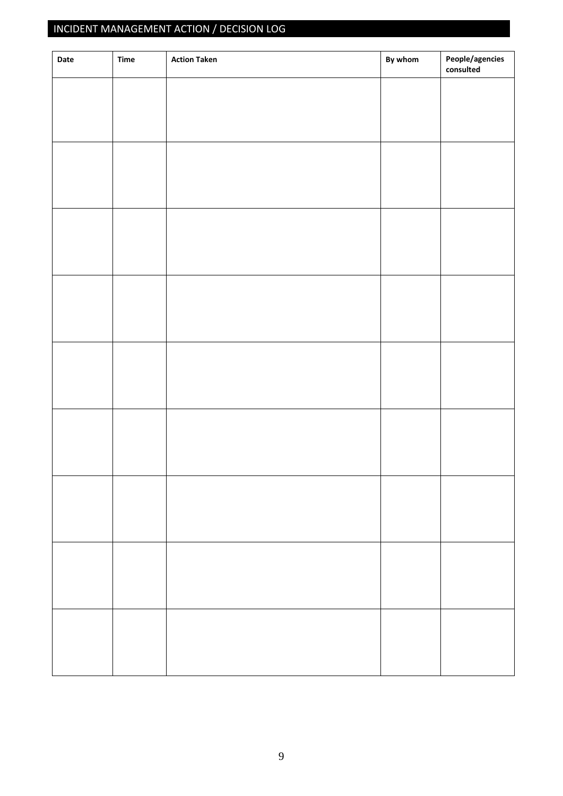# INCIDENT MANAGEMENT ACTION / DECISION LOG

| Date | Time | <b>Action Taken</b> | By whom | People/agencies<br>consulted |
|------|------|---------------------|---------|------------------------------|
|      |      |                     |         |                              |
|      |      |                     |         |                              |
|      |      |                     |         |                              |
|      |      |                     |         |                              |
|      |      |                     |         |                              |
|      |      |                     |         |                              |
|      |      |                     |         |                              |
|      |      |                     |         |                              |
|      |      |                     |         |                              |
|      |      |                     |         |                              |
|      |      |                     |         |                              |
|      |      |                     |         |                              |
|      |      |                     |         |                              |
|      |      |                     |         |                              |
|      |      |                     |         |                              |
|      |      |                     |         |                              |
|      |      |                     |         |                              |
|      |      |                     |         |                              |
|      |      |                     |         |                              |
|      |      |                     |         |                              |
|      |      |                     |         |                              |
|      |      |                     |         |                              |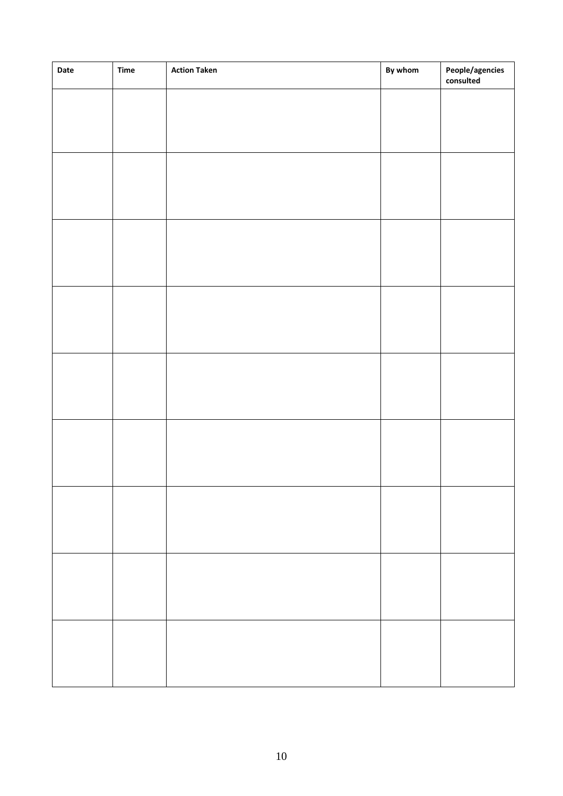| Date | <b>Time</b> | <b>Action Taken</b> | By whom | People/agencies<br>consulted |
|------|-------------|---------------------|---------|------------------------------|
|      |             |                     |         |                              |
|      |             |                     |         |                              |
|      |             |                     |         |                              |
|      |             |                     |         |                              |
|      |             |                     |         |                              |
|      |             |                     |         |                              |
|      |             |                     |         |                              |
|      |             |                     |         |                              |
|      |             |                     |         |                              |
|      |             |                     |         |                              |
|      |             |                     |         |                              |
|      |             |                     |         |                              |
|      |             |                     |         |                              |
|      |             |                     |         |                              |
|      |             |                     |         |                              |
|      |             |                     |         |                              |
|      |             |                     |         |                              |
|      |             |                     |         |                              |
|      |             |                     |         |                              |
|      |             |                     |         |                              |
|      |             |                     |         |                              |
|      |             |                     |         |                              |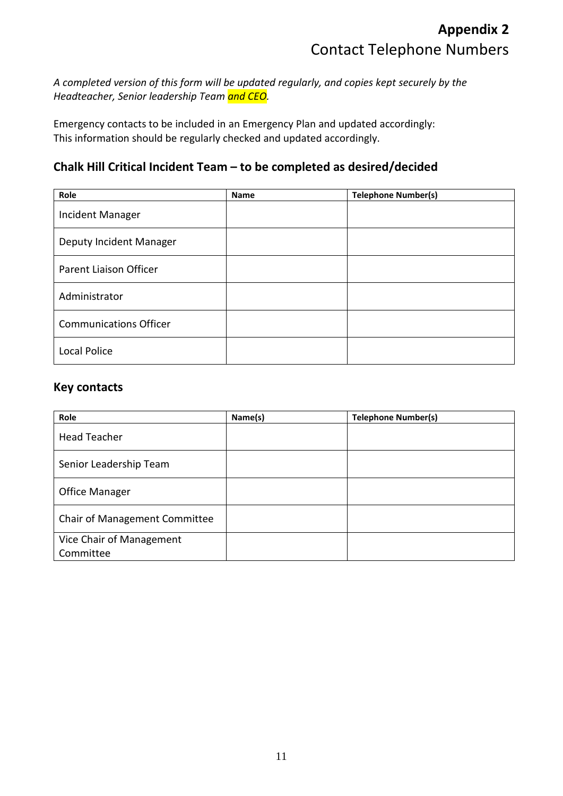*A completed version of this form will be updated regularly, and copies kept securely by the Headteacher, Senior leadership Team and CEO.*

Emergency contacts to be included in an Emergency Plan and updated accordingly: This information should be regularly checked and updated accordingly.

## **Chalk Hill Critical Incident Team – to be completed as desired/decided**

| Role                          | <b>Name</b> | <b>Telephone Number(s)</b> |
|-------------------------------|-------------|----------------------------|
| Incident Manager              |             |                            |
| Deputy Incident Manager       |             |                            |
| <b>Parent Liaison Officer</b> |             |                            |
| Administrator                 |             |                            |
| <b>Communications Officer</b> |             |                            |
| <b>Local Police</b>           |             |                            |

## **Key contacts**

| Role                                  | Name(s) | <b>Telephone Number(s)</b> |
|---------------------------------------|---------|----------------------------|
| <b>Head Teacher</b>                   |         |                            |
| Senior Leadership Team                |         |                            |
| <b>Office Manager</b>                 |         |                            |
| <b>Chair of Management Committee</b>  |         |                            |
| Vice Chair of Management<br>Committee |         |                            |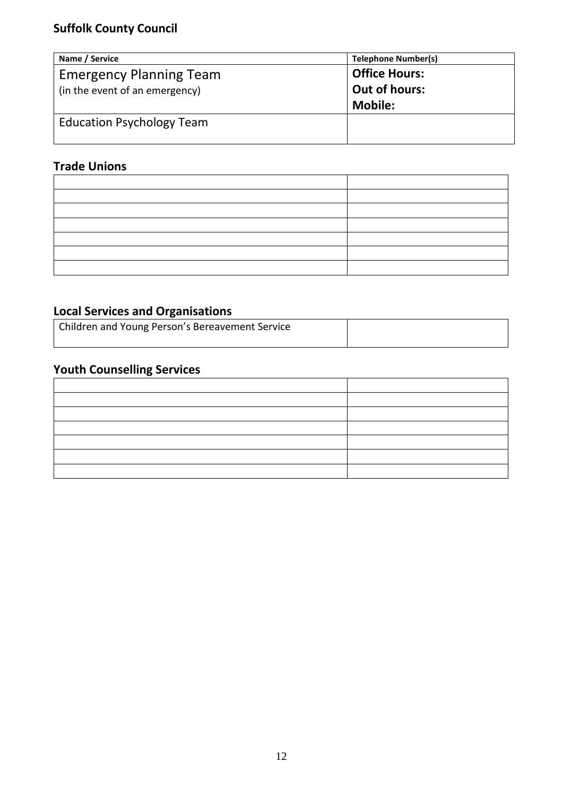| Name / Service                   | <b>Telephone Number(s)</b> |
|----------------------------------|----------------------------|
| <b>Emergency Planning Team</b>   | <b>Office Hours:</b>       |
| (in the event of an emergency)   | Out of hours:              |
|                                  | <b>Mobile:</b>             |
| <b>Education Psychology Team</b> |                            |
|                                  |                            |

## **Trade Unions**

## **Local Services and Organisations**

| Children and Young Person's Bereavement Service |  |
|-------------------------------------------------|--|
|                                                 |  |

# **Youth Counselling Services**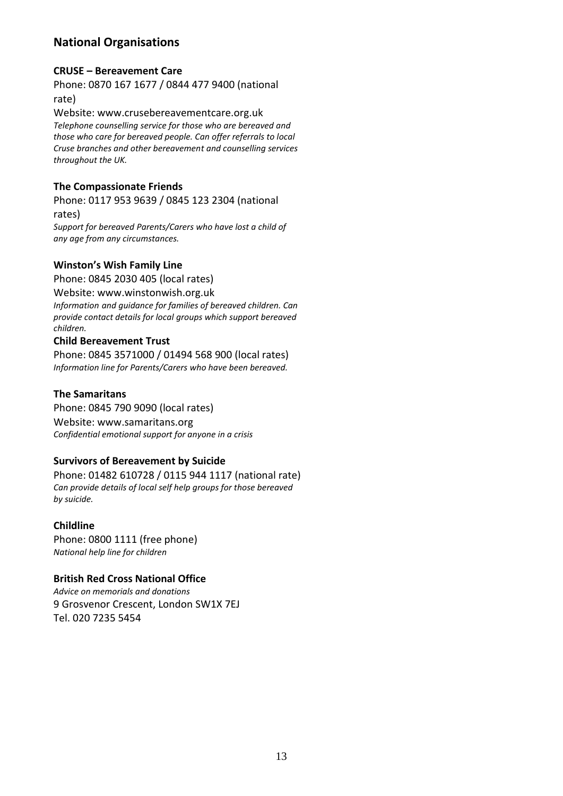## **National Organisations**

#### **CRUSE – Bereavement Care**

Phone: 0870 167 1677 / 0844 477 9400 (national rate)

Website: www.crusebereavementcare.org.uk *Telephone counselling service for those who are bereaved and those who care for bereaved people. Can offer referrals to local Cruse branches and other bereavement and counselling services throughout the UK.*

#### **The Compassionate Friends**

Phone: 0117 953 9639 / 0845 123 2304 (national rates)

*Support for bereaved Parents/Carers who have lost a child of any age from any circumstances.*

#### **Winston's Wish Family Line**

Phone: 0845 2030 405 (local rates) Website: www.winstonwish.org.uk *Information and guidance for families of bereaved children. Can provide contact details for local groups which support bereaved children.*

#### **Child Bereavement Trust**

Phone: 0845 3571000 / 01494 568 900 (local rates) *Information line for Parents/Carers who have been bereaved.* 

## **The Samaritans**

Phone: 0845 790 9090 (local rates) Website: www.samaritans.org *Confidential emotional support for anyone in a crisis*

#### **Survivors of Bereavement by Suicide**

Phone: 01482 610728 / 0115 944 1117 (national rate) *Can provide details of local self help groups for those bereaved by suicide.*

#### **Childline**

Phone: 0800 1111 (free phone) *National help line for children*

#### **British Red Cross National Office**

*Advice on memorials and donations* 9 Grosvenor Crescent, London SW1X 7EJ Tel. 020 7235 5454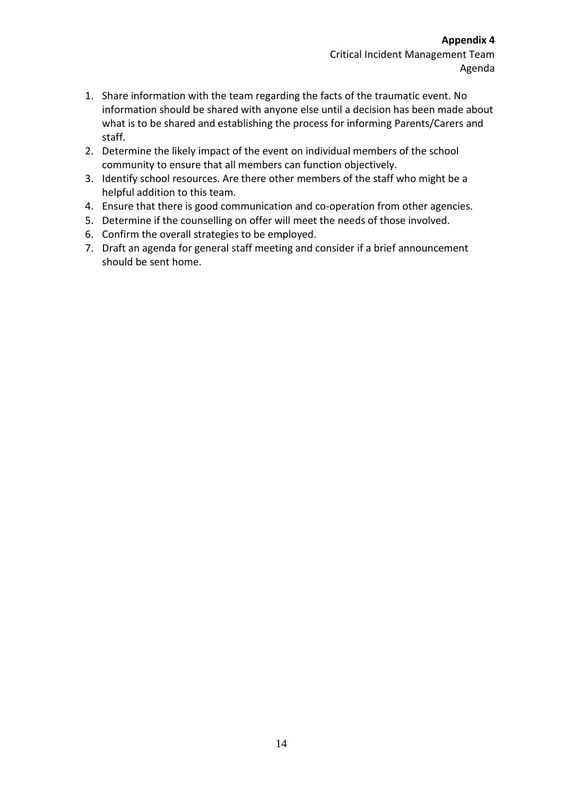- 1. Share information with the team regarding the facts of the traumatic event. No information should be shared with anyone else until a decision has been made about what is to be shared and establishing the process for informing Parents/Carers and staff.
- 2. Determine the likely impact of the event on individual members of the school community to ensure that all members can function objectively.
- 3. Identify school resources. Are there other members of the staff who might be a helpful addition to this team.
- 4. Ensure that there is good communication and co-operation from other agencies.
- 5. Determine if the counselling on offer will meet the needs of those involved.
- 6. Confirm the overall strategies to be employed.
- 7. Draft an agenda for general staff meeting and consider if a brief announcement should be sent home.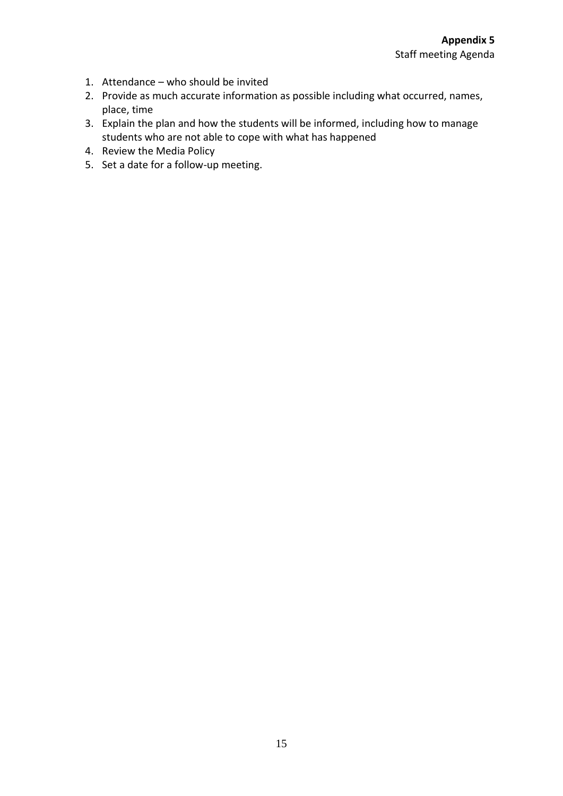- 1. Attendance who should be invited
- 2. Provide as much accurate information as possible including what occurred, names, place, time
- 3. Explain the plan and how the students will be informed, including how to manage students who are not able to cope with what has happened
- 4. Review the Media Policy
- 5. Set a date for a follow-up meeting.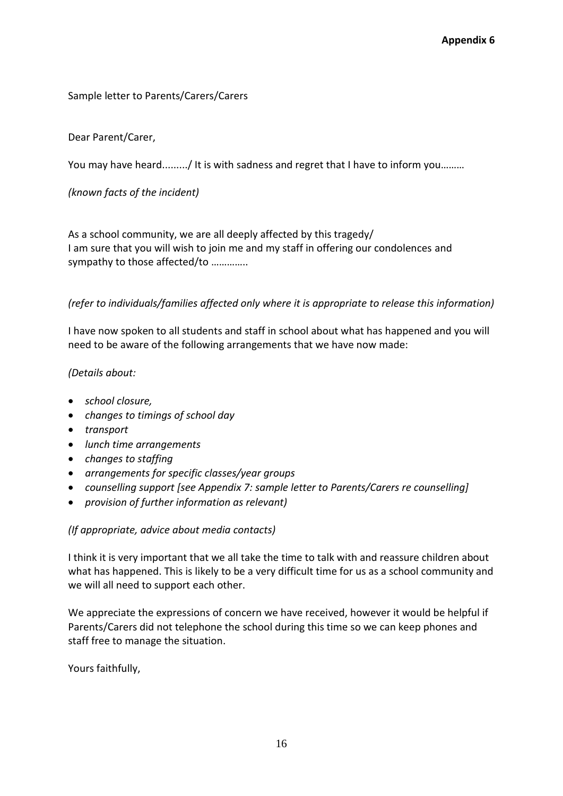## Sample letter to Parents/Carers/Carers

#### Dear Parent/Carer,

You may have heard........./ It is with sadness and regret that I have to inform you.........

*(known facts of the incident)* 

As a school community, we are all deeply affected by this tragedy/ I am sure that you will wish to join me and my staff in offering our condolences and sympathy to those affected/to …………..

#### *(refer to individuals/families affected only where it is appropriate to release this information)*

I have now spoken to all students and staff in school about what has happened and you will need to be aware of the following arrangements that we have now made:

*(Details about:*

- *school closure,*
- *changes to timings of school day*
- *transport*
- *lunch time arrangements*
- *changes to staffing*
- *arrangements for specific classes/year groups*
- *counselling support [see Appendix 7: sample letter to Parents/Carers re counselling]*
- *provision of further information as relevant)*

*(If appropriate, advice about media contacts)*

I think it is very important that we all take the time to talk with and reassure children about what has happened. This is likely to be a very difficult time for us as a school community and we will all need to support each other.

We appreciate the expressions of concern we have received, however it would be helpful if Parents/Carers did not telephone the school during this time so we can keep phones and staff free to manage the situation.

Yours faithfully,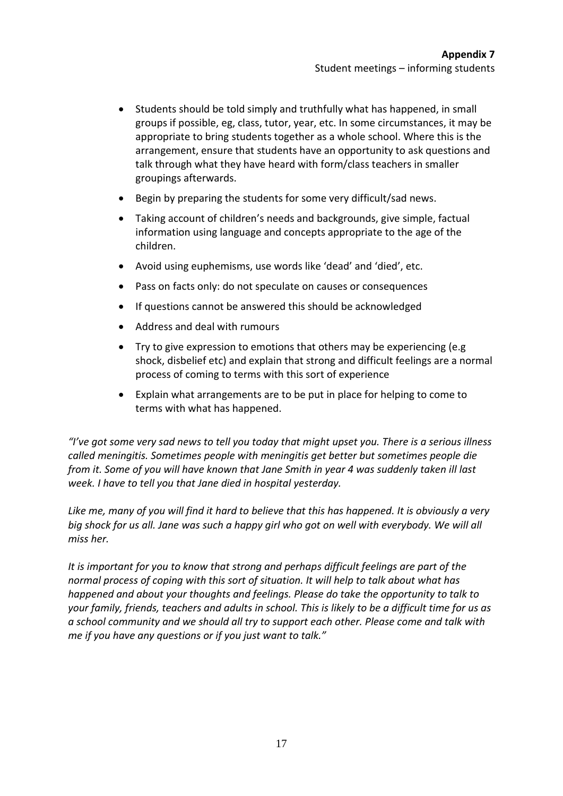- Students should be told simply and truthfully what has happened, in small groups if possible, eg, class, tutor, year, etc. In some circumstances, it may be appropriate to bring students together as a whole school. Where this is the arrangement, ensure that students have an opportunity to ask questions and talk through what they have heard with form/class teachers in smaller groupings afterwards.
- Begin by preparing the students for some very difficult/sad news.
- Taking account of children's needs and backgrounds, give simple, factual information using language and concepts appropriate to the age of the children.
- Avoid using euphemisms, use words like 'dead' and 'died', etc.
- Pass on facts only: do not speculate on causes or consequences
- If questions cannot be answered this should be acknowledged
- Address and deal with rumours
- Try to give expression to emotions that others may be experiencing (e.g shock, disbelief etc) and explain that strong and difficult feelings are a normal process of coming to terms with this sort of experience
- Explain what arrangements are to be put in place for helping to come to terms with what has happened.

*"I've got some very sad news to tell you today that might upset you. There is a serious illness called meningitis. Sometimes people with meningitis get better but sometimes people die from it. Some of you will have known that Jane Smith in year 4 was suddenly taken ill last week. I have to tell you that Jane died in hospital yesterday.* 

*Like me, many of you will find it hard to believe that this has happened. It is obviously a very big shock for us all. Jane was such a happy girl who got on well with everybody. We will all miss her.* 

*It is important for you to know that strong and perhaps difficult feelings are part of the normal process of coping with this sort of situation. It will help to talk about what has happened and about your thoughts and feelings. Please do take the opportunity to talk to your family, friends, teachers and adults in school. This is likely to be a difficult time for us as a school community and we should all try to support each other. Please come and talk with me if you have any questions or if you just want to talk."*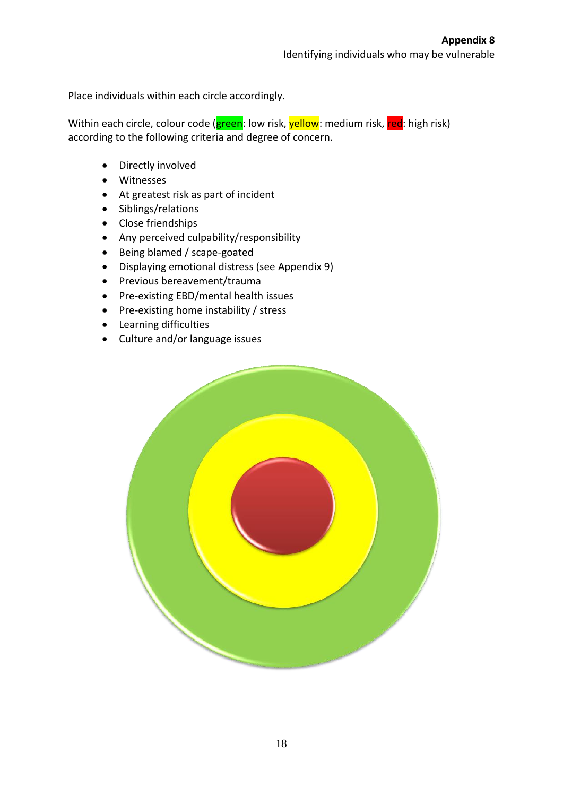Place individuals within each circle accordingly.

Within each circle, colour code (green: low risk, yellow: medium risk, red: high risk) according to the following criteria and degree of concern.

- Directly involved
- Witnesses
- At greatest risk as part of incident
- Siblings/relations
- Close friendships
- Any perceived culpability/responsibility
- Being blamed / scape-goated
- Displaying emotional distress (see Appendix 9)
- Previous bereavement/trauma
- Pre-existing EBD/mental health issues
- Pre-existing home instability / stress
- Learning difficulties
- Culture and/or language issues

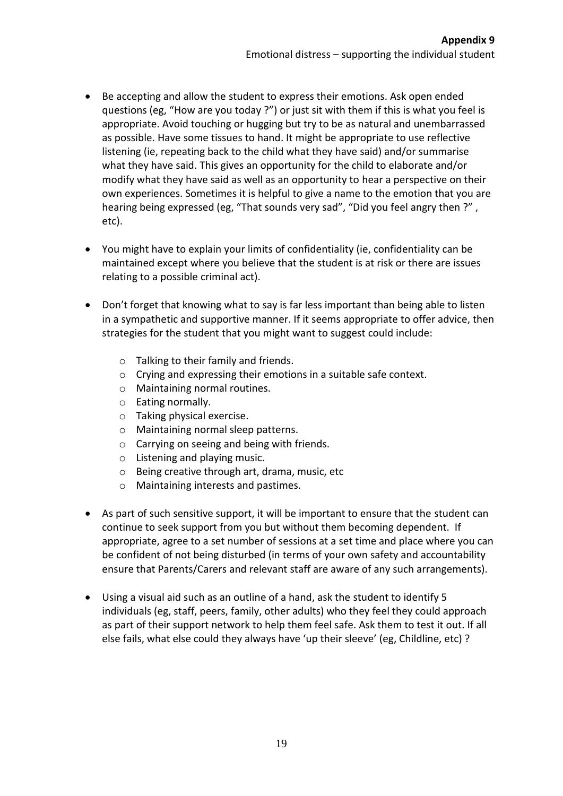- Be accepting and allow the student to express their emotions. Ask open ended questions (eg, "How are you today ?") or just sit with them if this is what you feel is appropriate. Avoid touching or hugging but try to be as natural and unembarrassed as possible. Have some tissues to hand. It might be appropriate to use reflective listening (ie, repeating back to the child what they have said) and/or summarise what they have said. This gives an opportunity for the child to elaborate and/or modify what they have said as well as an opportunity to hear a perspective on their own experiences. Sometimes it is helpful to give a name to the emotion that you are hearing being expressed (eg, "That sounds very sad", "Did you feel angry then ?" , etc).
- You might have to explain your limits of confidentiality (ie, confidentiality can be maintained except where you believe that the student is at risk or there are issues relating to a possible criminal act).
- Don't forget that knowing what to say is far less important than being able to listen in a sympathetic and supportive manner. If it seems appropriate to offer advice, then strategies for the student that you might want to suggest could include:
	- o Talking to their family and friends.
	- o Crying and expressing their emotions in a suitable safe context.
	- o Maintaining normal routines.
	- o Eating normally.
	- o Taking physical exercise.
	- o Maintaining normal sleep patterns.
	- o Carrying on seeing and being with friends.
	- o Listening and playing music.
	- o Being creative through art, drama, music, etc
	- o Maintaining interests and pastimes.
- As part of such sensitive support, it will be important to ensure that the student can continue to seek support from you but without them becoming dependent. If appropriate, agree to a set number of sessions at a set time and place where you can be confident of not being disturbed (in terms of your own safety and accountability ensure that Parents/Carers and relevant staff are aware of any such arrangements).
- Using a visual aid such as an outline of a hand, ask the student to identify 5 individuals (eg, staff, peers, family, other adults) who they feel they could approach as part of their support network to help them feel safe. Ask them to test it out. If all else fails, what else could they always have 'up their sleeve' (eg, Childline, etc) ?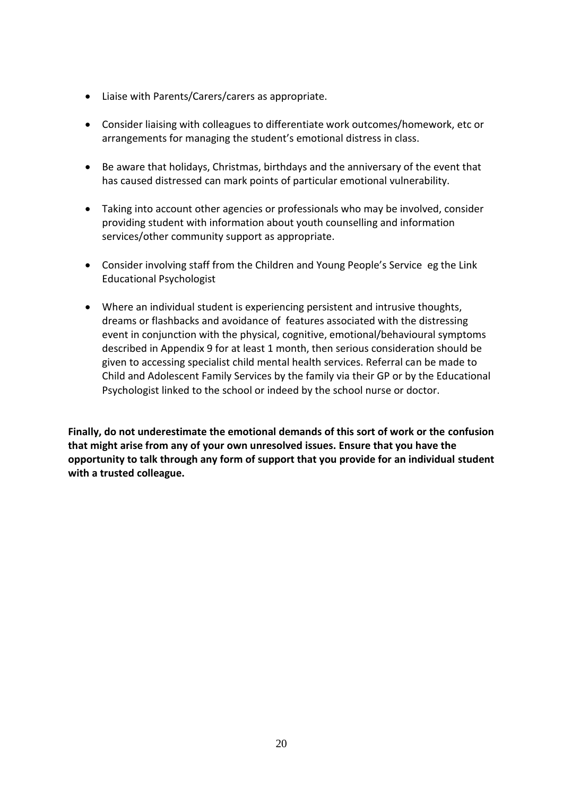- Liaise with Parents/Carers/carers as appropriate.
- Consider liaising with colleagues to differentiate work outcomes/homework, etc or arrangements for managing the student's emotional distress in class.
- Be aware that holidays, Christmas, birthdays and the anniversary of the event that has caused distressed can mark points of particular emotional vulnerability.
- Taking into account other agencies or professionals who may be involved, consider providing student with information about youth counselling and information services/other community support as appropriate.
- Consider involving staff from the Children and Young People's Service eg the Link Educational Psychologist
- Where an individual student is experiencing persistent and intrusive thoughts, dreams or flashbacks and avoidance of features associated with the distressing event in conjunction with the physical, cognitive, emotional/behavioural symptoms described in Appendix 9 for at least 1 month, then serious consideration should be given to accessing specialist child mental health services. Referral can be made to Child and Adolescent Family Services by the family via their GP or by the Educational Psychologist linked to the school or indeed by the school nurse or doctor.

**Finally, do not underestimate the emotional demands of this sort of work or the confusion that might arise from any of your own unresolved issues. Ensure that you have the opportunity to talk through any form of support that you provide for an individual student with a trusted colleague.**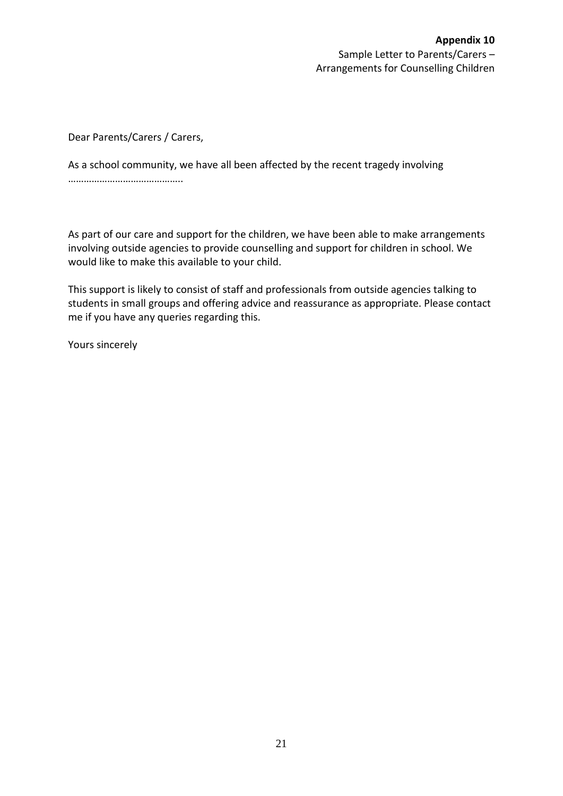#### **Appendix 10**  Sample Letter to Parents/Carers – Arrangements for Counselling Children

Dear Parents/Carers / Carers,

As a school community, we have all been affected by the recent tragedy involving ………………………………………

As part of our care and support for the children, we have been able to make arrangements involving outside agencies to provide counselling and support for children in school. We would like to make this available to your child.

This support is likely to consist of staff and professionals from outside agencies talking to students in small groups and offering advice and reassurance as appropriate. Please contact me if you have any queries regarding this.

Yours sincerely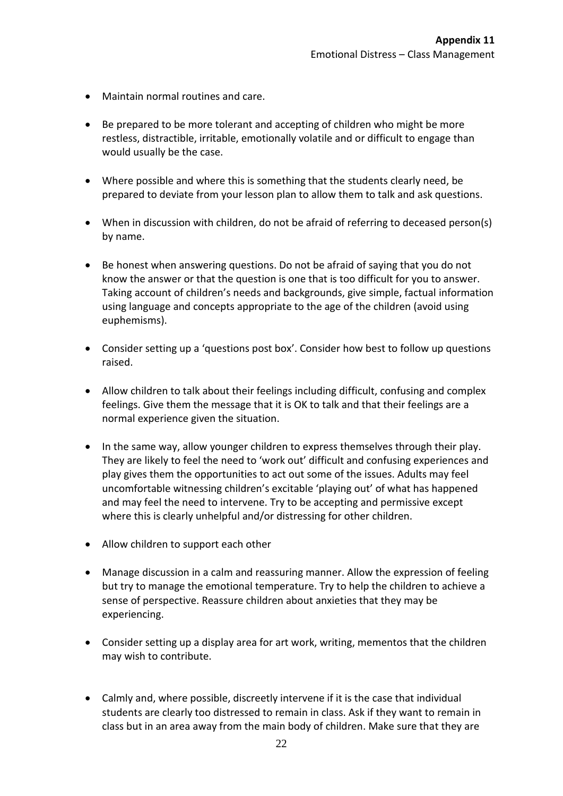- Maintain normal routines and care.
- Be prepared to be more tolerant and accepting of children who might be more restless, distractible, irritable, emotionally volatile and or difficult to engage than would usually be the case.
- Where possible and where this is something that the students clearly need, be prepared to deviate from your lesson plan to allow them to talk and ask questions.
- When in discussion with children, do not be afraid of referring to deceased person(s) by name.
- Be honest when answering questions. Do not be afraid of saying that you do not know the answer or that the question is one that is too difficult for you to answer. Taking account of children's needs and backgrounds, give simple, factual information using language and concepts appropriate to the age of the children (avoid using euphemisms).
- Consider setting up a 'questions post box'. Consider how best to follow up questions raised.
- Allow children to talk about their feelings including difficult, confusing and complex feelings. Give them the message that it is OK to talk and that their feelings are a normal experience given the situation.
- In the same way, allow younger children to express themselves through their play. They are likely to feel the need to 'work out' difficult and confusing experiences and play gives them the opportunities to act out some of the issues. Adults may feel uncomfortable witnessing children's excitable 'playing out' of what has happened and may feel the need to intervene. Try to be accepting and permissive except where this is clearly unhelpful and/or distressing for other children.
- Allow children to support each other
- Manage discussion in a calm and reassuring manner. Allow the expression of feeling but try to manage the emotional temperature. Try to help the children to achieve a sense of perspective. Reassure children about anxieties that they may be experiencing.
- Consider setting up a display area for art work, writing, mementos that the children may wish to contribute.
- Calmly and, where possible, discreetly intervene if it is the case that individual students are clearly too distressed to remain in class. Ask if they want to remain in class but in an area away from the main body of children. Make sure that they are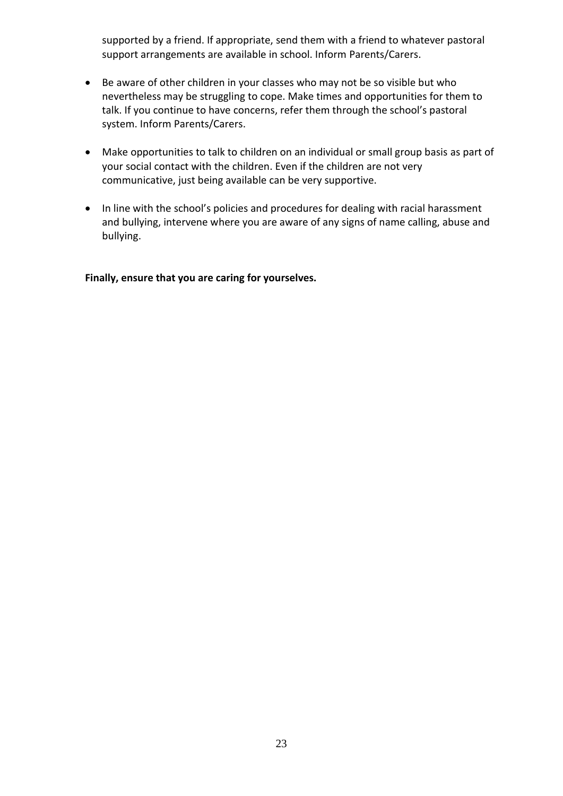supported by a friend. If appropriate, send them with a friend to whatever pastoral support arrangements are available in school. Inform Parents/Carers.

- Be aware of other children in your classes who may not be so visible but who nevertheless may be struggling to cope. Make times and opportunities for them to talk. If you continue to have concerns, refer them through the school's pastoral system. Inform Parents/Carers.
- Make opportunities to talk to children on an individual or small group basis as part of your social contact with the children. Even if the children are not very communicative, just being available can be very supportive.
- In line with the school's policies and procedures for dealing with racial harassment and bullying, intervene where you are aware of any signs of name calling, abuse and bullying.

**Finally, ensure that you are caring for yourselves.**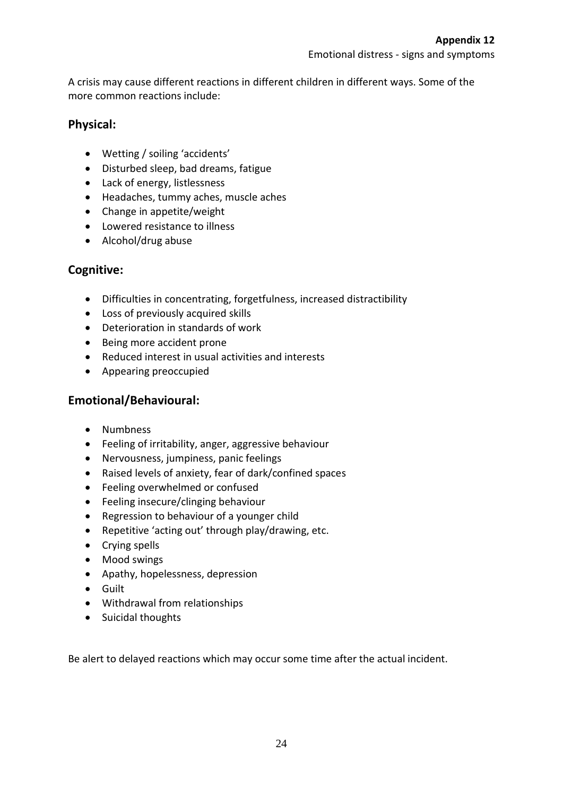A crisis may cause different reactions in different children in different ways. Some of the more common reactions include:

## **Physical:**

- Wetting / soiling 'accidents'
- Disturbed sleep, bad dreams, fatigue
- Lack of energy, listlessness
- Headaches, tummy aches, muscle aches
- Change in appetite/weight
- Lowered resistance to illness
- Alcohol/drug abuse

## **Cognitive:**

- Difficulties in concentrating, forgetfulness, increased distractibility
- Loss of previously acquired skills
- Deterioration in standards of work
- Being more accident prone
- Reduced interest in usual activities and interests
- Appearing preoccupied

## **Emotional/Behavioural:**

- Numbness
- Feeling of irritability, anger, aggressive behaviour
- Nervousness, jumpiness, panic feelings
- Raised levels of anxiety, fear of dark/confined spaces
- Feeling overwhelmed or confused
- Feeling insecure/clinging behaviour
- Regression to behaviour of a younger child
- Repetitive 'acting out' through play/drawing, etc.
- Crying spells
- Mood swings
- Apathy, hopelessness, depression
- Guilt
- Withdrawal from relationships
- Suicidal thoughts

Be alert to delayed reactions which may occur some time after the actual incident.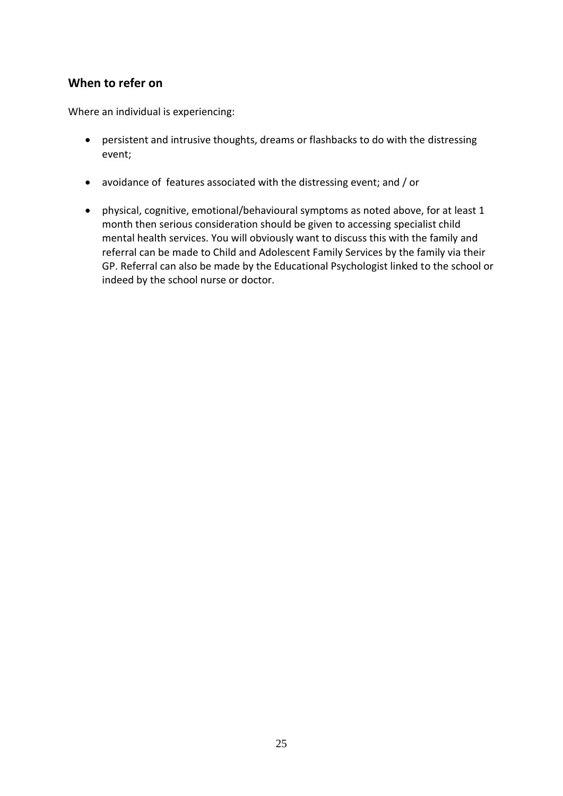## **When to refer on**

Where an individual is experiencing:

- persistent and intrusive thoughts, dreams or flashbacks to do with the distressing event;
- avoidance of features associated with the distressing event; and / or
- physical, cognitive, emotional/behavioural symptoms as noted above, for at least 1 month then serious consideration should be given to accessing specialist child mental health services. You will obviously want to discuss this with the family and referral can be made to Child and Adolescent Family Services by the family via their GP. Referral can also be made by the Educational Psychologist linked to the school or indeed by the school nurse or doctor.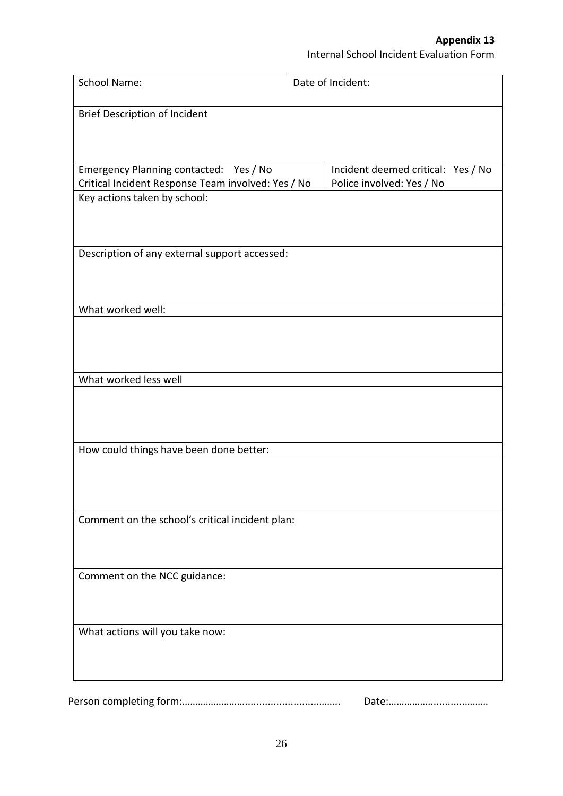| <b>School Name:</b>                                                                          | Date of Incident:                                               |
|----------------------------------------------------------------------------------------------|-----------------------------------------------------------------|
| <b>Brief Description of Incident</b>                                                         |                                                                 |
|                                                                                              |                                                                 |
| Emergency Planning contacted: Yes / No<br>Critical Incident Response Team involved: Yes / No | Incident deemed critical: Yes / No<br>Police involved: Yes / No |
| Key actions taken by school:                                                                 |                                                                 |
|                                                                                              |                                                                 |
| Description of any external support accessed:                                                |                                                                 |
|                                                                                              |                                                                 |
| What worked well:                                                                            |                                                                 |
|                                                                                              |                                                                 |
| What worked less well                                                                        |                                                                 |
|                                                                                              |                                                                 |
|                                                                                              |                                                                 |
| How could things have been done better:                                                      |                                                                 |
|                                                                                              |                                                                 |
| Comment on the school's critical incident plan:                                              |                                                                 |
|                                                                                              |                                                                 |
| Comment on the NCC guidance:                                                                 |                                                                 |
|                                                                                              |                                                                 |
| What actions will you take now:                                                              |                                                                 |
|                                                                                              |                                                                 |
|                                                                                              |                                                                 |

Person completing form:……………………..........................…….. Date:…………….............………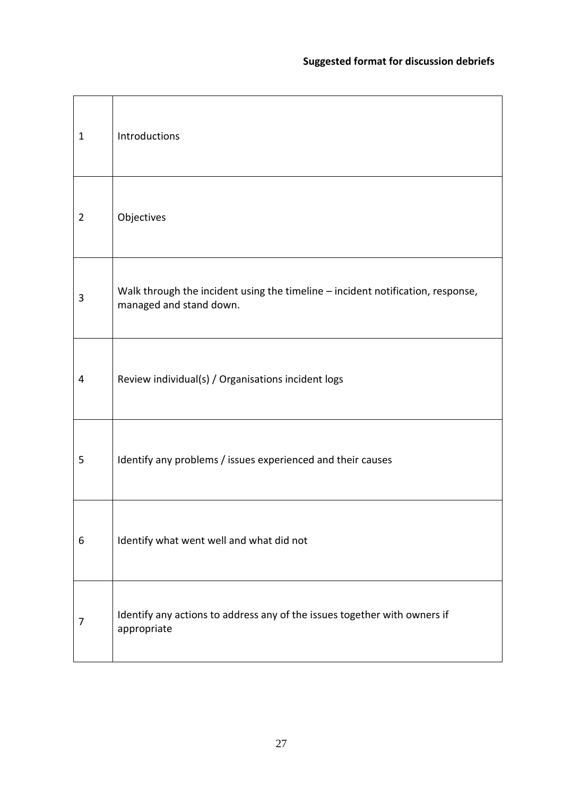| $\mathbf 1$ | Introductions                                                                                              |
|-------------|------------------------------------------------------------------------------------------------------------|
| 2           | Objectives                                                                                                 |
| 3           | Walk through the incident using the timeline - incident notification, response,<br>managed and stand down. |
| 4           | Review individual(s) / Organisations incident logs                                                         |
| 5           | Identify any problems / issues experienced and their causes                                                |
| 6           | Identify what went well and what did not                                                                   |
| 7           | Identify any actions to address any of the issues together with owners if<br>appropriate                   |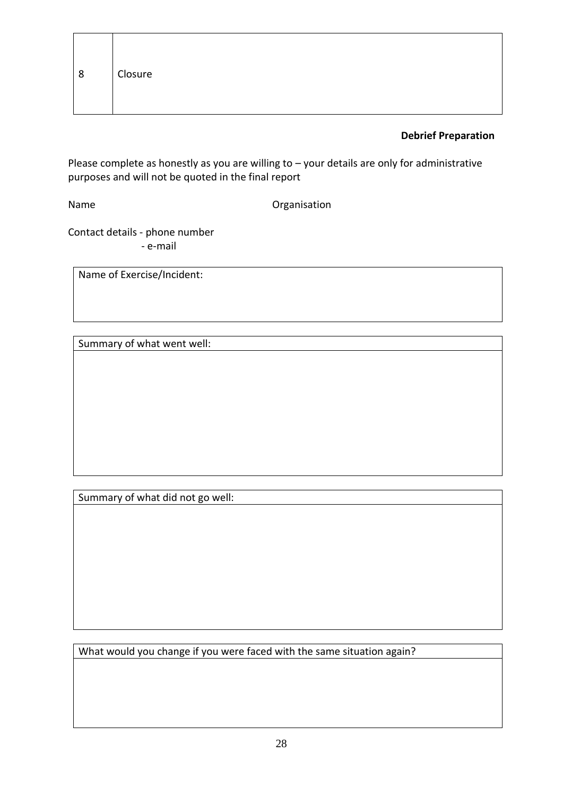#### **Debrief Preparation**

Please complete as honestly as you are willing to – your details are only for administrative purposes and will not be quoted in the final report

Name **Organisation** 

Contact details - phone number - e-mail

Name of Exercise/Incident:

Summary of what went well:

Summary of what did not go well:

What would you change if you were faced with the same situation again?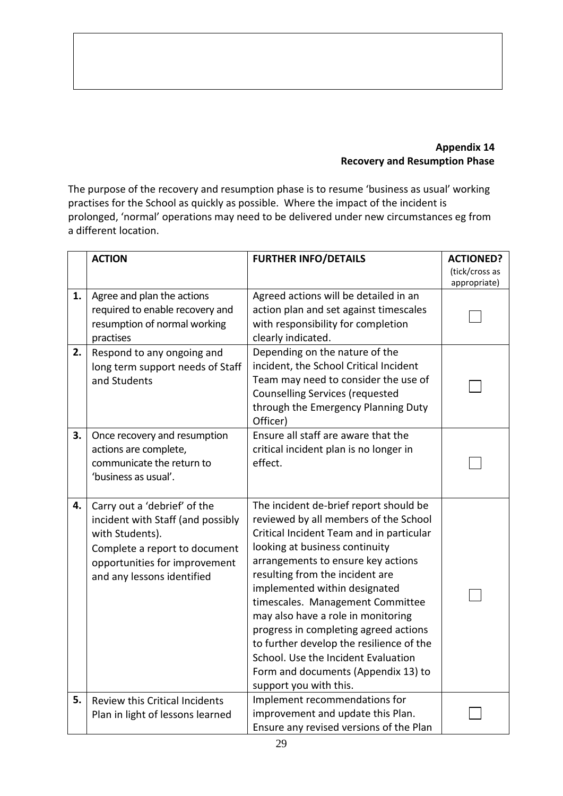## **Appendix 14 Recovery and Resumption Phase**

The purpose of the recovery and resumption phase is to resume 'business as usual' working practises for the School as quickly as possible. Where the impact of the incident is prolonged, 'normal' operations may need to be delivered under new circumstances eg from a different location.

|    | <b>ACTION</b>                                                                                                                                                                        | <b>FURTHER INFO/DETAILS</b>                                                                                                                                                                                                                                                                                                                                                                                                                                                                                                                    | <b>ACTIONED?</b> |
|----|--------------------------------------------------------------------------------------------------------------------------------------------------------------------------------------|------------------------------------------------------------------------------------------------------------------------------------------------------------------------------------------------------------------------------------------------------------------------------------------------------------------------------------------------------------------------------------------------------------------------------------------------------------------------------------------------------------------------------------------------|------------------|
|    |                                                                                                                                                                                      |                                                                                                                                                                                                                                                                                                                                                                                                                                                                                                                                                | (tick/cross as   |
|    |                                                                                                                                                                                      |                                                                                                                                                                                                                                                                                                                                                                                                                                                                                                                                                | appropriate)     |
| 1. | Agree and plan the actions<br>required to enable recovery and<br>resumption of normal working<br>practises                                                                           | Agreed actions will be detailed in an<br>action plan and set against timescales<br>with responsibility for completion<br>clearly indicated.                                                                                                                                                                                                                                                                                                                                                                                                    |                  |
| 2. | Respond to any ongoing and<br>long term support needs of Staff<br>and Students                                                                                                       | Depending on the nature of the<br>incident, the School Critical Incident<br>Team may need to consider the use of<br><b>Counselling Services (requested</b><br>through the Emergency Planning Duty<br>Officer)                                                                                                                                                                                                                                                                                                                                  |                  |
| 3. | Once recovery and resumption<br>actions are complete,<br>communicate the return to<br>'business as usual'.                                                                           | Ensure all staff are aware that the<br>critical incident plan is no longer in<br>effect.                                                                                                                                                                                                                                                                                                                                                                                                                                                       |                  |
| 4. | Carry out a 'debrief' of the<br>incident with Staff (and possibly<br>with Students).<br>Complete a report to document<br>opportunities for improvement<br>and any lessons identified | The incident de-brief report should be<br>reviewed by all members of the School<br>Critical Incident Team and in particular<br>looking at business continuity<br>arrangements to ensure key actions<br>resulting from the incident are<br>implemented within designated<br>timescales. Management Committee<br>may also have a role in monitoring<br>progress in completing agreed actions<br>to further develop the resilience of the<br>School. Use the Incident Evaluation<br>Form and documents (Appendix 13) to<br>support you with this. |                  |
| 5. | <b>Review this Critical Incidents</b><br>Plan in light of lessons learned                                                                                                            | Implement recommendations for<br>improvement and update this Plan.<br>Ensure any revised versions of the Plan                                                                                                                                                                                                                                                                                                                                                                                                                                  |                  |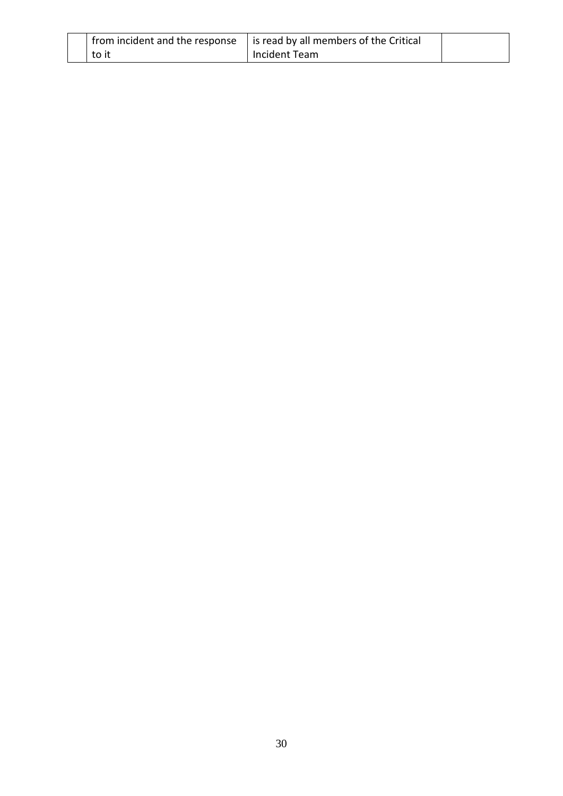| from incident and the response | is read by all members of the Critical |  |
|--------------------------------|----------------------------------------|--|
| to it                          | Incident Team                          |  |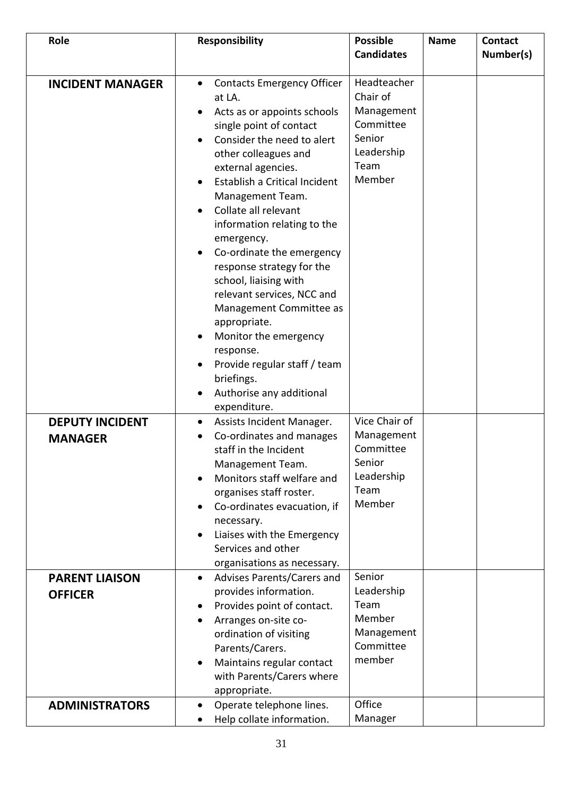| Role                                                                                | <b>Responsibility</b>                                                                                                                                                                                                                                                                                                                                                                                                                                                                                                                                                                                                | <b>Possible</b><br><b>Candidates</b>                                                                       | <b>Name</b> | <b>Contact</b><br>Number(s) |
|-------------------------------------------------------------------------------------|----------------------------------------------------------------------------------------------------------------------------------------------------------------------------------------------------------------------------------------------------------------------------------------------------------------------------------------------------------------------------------------------------------------------------------------------------------------------------------------------------------------------------------------------------------------------------------------------------------------------|------------------------------------------------------------------------------------------------------------|-------------|-----------------------------|
|                                                                                     |                                                                                                                                                                                                                                                                                                                                                                                                                                                                                                                                                                                                                      |                                                                                                            |             |                             |
| <b>INCIDENT MANAGER</b>                                                             | <b>Contacts Emergency Officer</b><br>$\bullet$<br>at LA.<br>Acts as or appoints schools<br>single point of contact<br>Consider the need to alert<br>other colleagues and<br>external agencies.<br>Establish a Critical Incident<br>Management Team.<br>Collate all relevant<br>information relating to the<br>emergency.<br>Co-ordinate the emergency<br>response strategy for the<br>school, liaising with<br>relevant services, NCC and<br>Management Committee as<br>appropriate.<br>Monitor the emergency<br>response.<br>Provide regular staff / team<br>briefings.<br>Authorise any additional<br>expenditure. | Headteacher<br>Chair of<br>Management<br>Committee<br>Senior<br>Leadership<br>Team<br>Member               |             |                             |
| <b>DEPUTY INCIDENT</b><br><b>MANAGER</b><br><b>PARENT LIAISON</b><br><b>OFFICER</b> | Assists Incident Manager.<br>$\bullet$<br>Co-ordinates and manages<br>staff in the Incident<br>Management Team.<br>Monitors staff welfare and<br>organises staff roster.<br>Co-ordinates evacuation, if<br>necessary.<br>Liaises with the Emergency<br>Services and other<br>organisations as necessary.<br>Advises Parents/Carers and<br>provides information.                                                                                                                                                                                                                                                      | Vice Chair of<br>Management<br>Committee<br>Senior<br>Leadership<br>Team<br>Member<br>Senior<br>Leadership |             |                             |
|                                                                                     | Provides point of contact.<br>Arranges on-site co-<br>ordination of visiting<br>Parents/Carers.<br>Maintains regular contact<br>with Parents/Carers where<br>appropriate.                                                                                                                                                                                                                                                                                                                                                                                                                                            | Team<br>Member<br>Management<br>Committee<br>member                                                        |             |                             |
| <b>ADMINISTRATORS</b>                                                               | Operate telephone lines.<br>$\bullet$<br>Help collate information.                                                                                                                                                                                                                                                                                                                                                                                                                                                                                                                                                   | Office<br>Manager                                                                                          |             |                             |